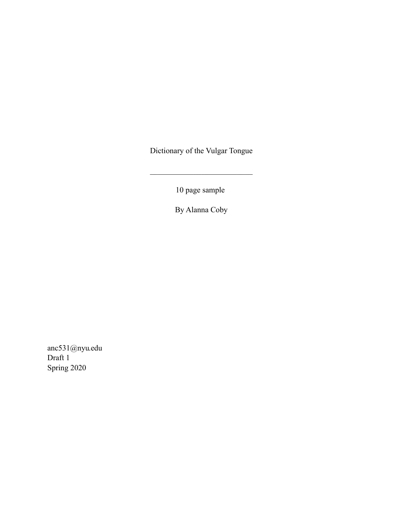Dictionary of the Vulgar Tongue

 $\mathcal{L}_\text{max}$  , where  $\mathcal{L}_\text{max}$  and  $\mathcal{L}_\text{max}$ 

10 page sample

By Alanna Coby

anc531@nyu.edu Draft 1 Spring 2020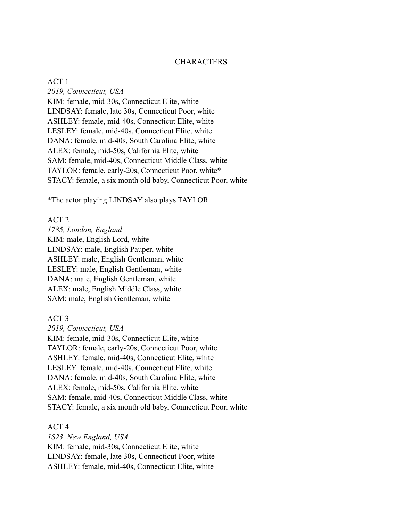## **CHARACTERS**

ACT 1 *2019, Connecticut, USA* KIM: female, mid-30s, Connecticut Elite, white LINDSAY: female, late 30s, Connecticut Poor, white ASHLEY: female, mid-40s, Connecticut Elite, white LESLEY: female, mid-40s, Connecticut Elite, white DANA: female, mid-40s, South Carolina Elite, white ALEX: female, mid-50s, California Elite, white SAM: female, mid-40s, Connecticut Middle Class, white TAYLOR: female, early-20s, Connecticut Poor, white\* STACY: female, a six month old baby, Connecticut Poor, white

\*The actor playing LINDSAY also plays TAYLOR

### ACT 2

*1785, London, England* KIM: male, English Lord, white LINDSAY: male, English Pauper, white ASHLEY: male, English Gentleman, white LESLEY: male, English Gentleman, white DANA: male, English Gentleman, white ALEX: male, English Middle Class, white SAM: male, English Gentleman, white

ACT 3

*2019, Connecticut, USA* KIM: female, mid-30s, Connecticut Elite, white TAYLOR: female, early-20s, Connecticut Poor, white ASHLEY: female, mid-40s, Connecticut Elite, white LESLEY: female, mid-40s, Connecticut Elite, white DANA: female, mid-40s, South Carolina Elite, white ALEX: female, mid-50s, California Elite, white SAM: female, mid-40s, Connecticut Middle Class, white STACY: female, a six month old baby, Connecticut Poor, white

ACT 4

*1823, New England, USA* KIM: female, mid-30s, Connecticut Elite, white LINDSAY: female, late 30s, Connecticut Poor, white ASHLEY: female, mid-40s, Connecticut Elite, white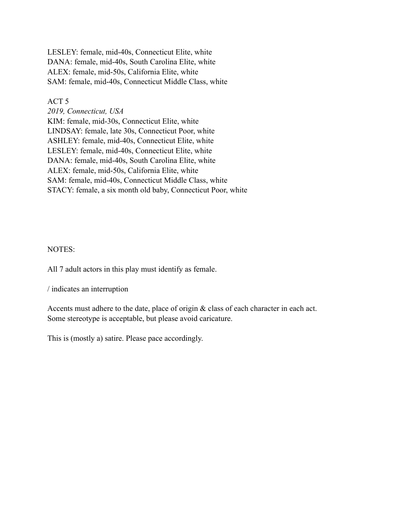LESLEY: female, mid-40s, Connecticut Elite, white DANA: female, mid-40s, South Carolina Elite, white ALEX: female, mid-50s, California Elite, white SAM: female, mid-40s, Connecticut Middle Class, white

ACT 5

*2019, Connecticut, USA* KIM: female, mid-30s, Connecticut Elite, white LINDSAY: female, late 30s, Connecticut Poor, white ASHLEY: female, mid-40s, Connecticut Elite, white LESLEY: female, mid-40s, Connecticut Elite, white DANA: female, mid-40s, South Carolina Elite, white ALEX: female, mid-50s, California Elite, white SAM: female, mid-40s, Connecticut Middle Class, white STACY: female, a six month old baby, Connecticut Poor, white

# NOTES:

All 7 adult actors in this play must identify as female.

/ indicates an interruption

Accents must adhere to the date, place of origin & class of each character in each act. Some stereotype is acceptable, but please avoid caricature.

This is (mostly a) satire. Please pace accordingly.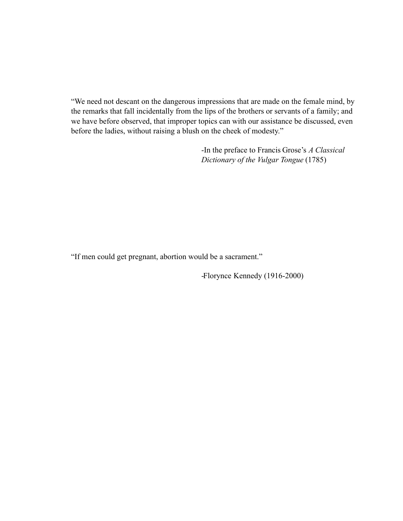"We need not descant on the dangerous impressions that are made on the female mind, by the remarks that fall incidentally from the lips of the brothers or servants of a family; and we have before observed, that improper topics can with our assistance be discussed, even before the ladies, without raising a blush on the cheek of modesty."

> -In the preface to Francis Grose's *A Classical Dictionary of the Vulgar Tongue* (1785)

"If men could get pregnant, abortion would be a sacrament."

-Florynce Kennedy (1916-2000)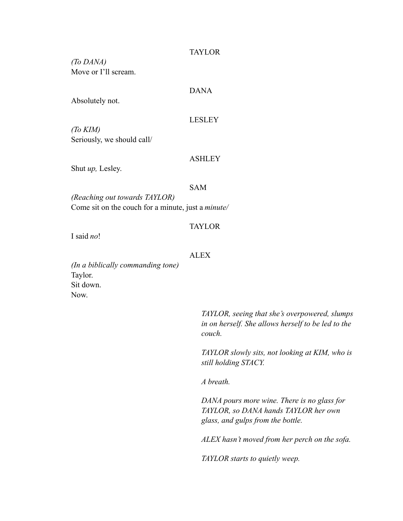## TAYLOR

*(To DANA)* Move or I'll scream.

# DANA

Absolutely not.

### LESLEY

*(To KIM)* Seriously, we should call/

### ASHLEY

Shut *up,* Lesley.

### SAM

*(Reaching out towards TAYLOR)* Come sit on the couch for a minute, just a *minute/*

## TAYLOR

I said *no*!

### ALEX

*(In a biblically commanding tone)* Taylor. Sit down. Now.

> *TAYLOR, seeing that she's overpowered, slumps in on herself. She allows herself to be led to the couch.*

> *TAYLOR slowly sits, not looking at KIM, who is still holding STACY.*

*A breath.*

*DANA pours more wine. There is no glass for TAYLOR, so DANA hands TAYLOR her own glass, and gulps from the bottle.*

*ALEX hasn't moved from her perch on the sofa.*

*TAYLOR starts to quietly weep.*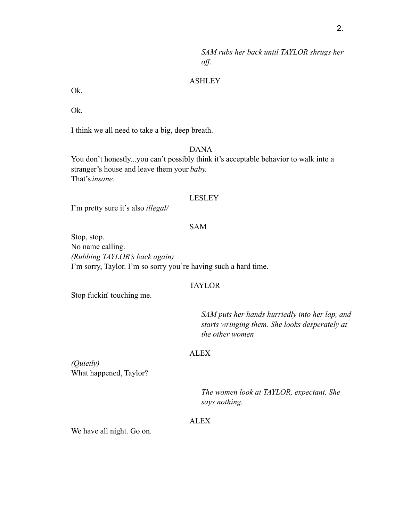*SAM rubs her back until TAYLOR shrugs her off.*

# ASHLEY

Ok.

Ok.

I think we all need to take a big, deep breath.

# DANA

You don't honestly...you can't possibly think it's acceptable behavior to walk into a stranger's house and leave them your *baby.* That's*insane.*

### LESLEY

I'm pretty sure it's also *illegal/*

## SAM

Stop, stop. No name calling. *(Rubbing TAYLOR's back again)* I'm sorry, Taylor. I'm so sorry you're having such a hard time.

### TAYLOR

Stop fuckin' touching me.

*SAM puts her hands hurriedly into her lap, and starts wringing them. She looks desperately at the other women*

### ALEX

*(Quietly)* What happened, Taylor?

> *The women look at TAYLOR, expectant. She says nothing.*

# ALEX

We have all night. Go on.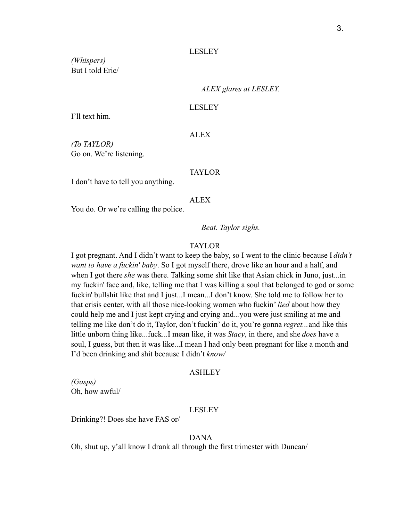#### LESLEY

*(Whispers)* But I told Eric/

*ALEX glares at LESLEY.*

#### LESLEY

I'll text him.

### ALEX

*(To TAYLOR)* Go on. We're listening.

### TAYLOR

I don't have to tell you anything.

### ALEX

You do. Or we're calling the police.

*Beat. Taylor sighs.*

# TAYLOR

I got pregnant. And I didn't want to keep the baby, so I went to the clinic because I *didn't want to have a fuckin' baby*. So I got myself there, drove like an hour and a half, and when I got there *she* was there. Talking some shit like that Asian chick in Juno, just...in my fuckin' face and, like, telling me that I was killing a soul that belonged to god or some fuckin' bullshit like that and I just...I mean...I don't know. She told me to follow her to that crisis center, with all those nice-looking women who fuckin' *lied* about how they could help me and I just kept crying and crying and*...*you were just smiling at me and telling me like don't do it, Taylor, don't fuckin' do it, you're gonna *regret...*and like this little unborn thing like...fuck...I mean like, it was *Stacy*, in there, and she *does* have a soul, I guess, but then it was like...I mean I had only been pregnant for like a month and I'd been drinking and shit because I didn't *know/*

## ASHLEY

*(Gasps)* Oh, how awful/

#### LESLEY

Drinking?! Does she have FAS or/

## DANA

Oh, shut up, y'all know I drank all through the first trimester with Duncan/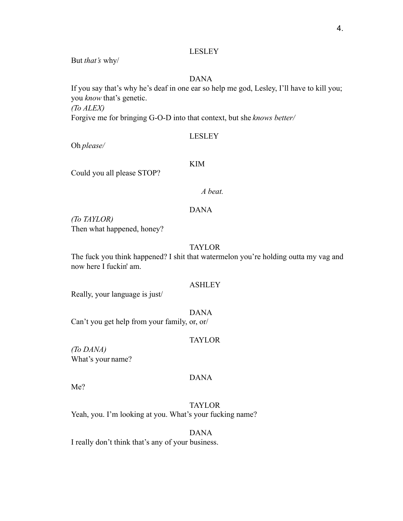# LESLEY

But *that's* why/

# DANA

If you say that's why he's deaf in one ear so help me god, Lesley, I'll have to kill you; you *know* that's genetic.

*(To ALEX)*

Forgive me for bringing G-O-D into that context, but she *knows better/*

## LESLEY

Oh *please/*

# KIM

Could you all please STOP?

# *A beat.*

# DANA

*(To TAYLOR)* Then what happened, honey?

## TAYLOR

The fuck you think happened? I shit that watermelon you're holding outta my vag and now here I fuckin' am.

## ASHLEY

Really, your language is just/

DANA

Can't you get help from your family, or, or/

## TAYLOR

*(To DANA)* What's your name?

# DANA

Me?

TAYLOR Yeah, you. I'm looking at you. What's your fucking name?

DANA I really don't think that's any of your business.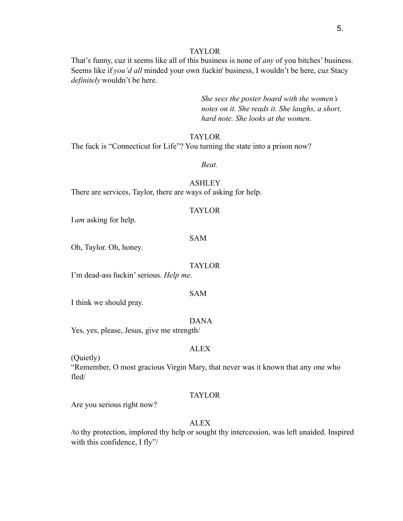### TAYLOR

That's funny, cuz it seems like all of this business is none of *any* of you bitches' business. Seems like if *you'd all* minded your own fuckin' business, I wouldn't be here, cuz Stacy *definitely* wouldn't be here.

> *She sees the poster board with the women's notes on it. She reads it. She laughs, a short, hard note. She looks at the women.*

## TAYLOR

The fuck is "Connecticut for Life"? You turning the state into a prison now?

*Beat.*

## ASHLEY There are services, Taylor, there are ways of asking for help.

### TAYLOR

I *am* asking for help.

### SAM

Oh, Taylor. Oh, honey.

### TAYLOR

I'm dead-ass fuckin'serious. *Help me*.

### SAM

I think we should pray.

#### DANA

Yes, yes, please, Jesus, give me strength/

# **ALEX**

(Quietly)

"Remember, O most gracious Virgin Mary, that never was it known that any one who fled/

# TAYLOR

Are you serious right now?

# ALEX

/to thy protection, implored thy help or sought thy intercession, was left unaided. Inspired with this confidence, I fly"/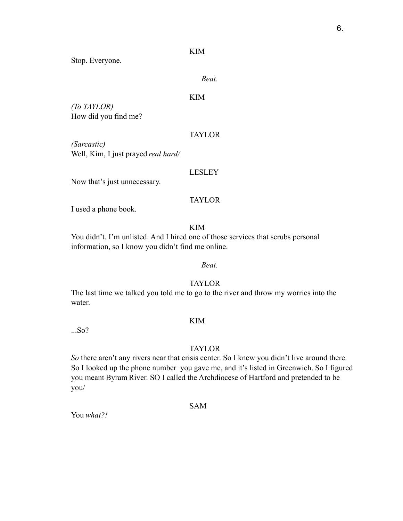## KIM

Stop. Everyone.

### *Beat.*

# KIM

*(To TAYLOR)* How did you find me?

## TAYLOR

*(Sarcastic)* Well, Kim, I just prayed *real hard/*

### LESLEY

Now that's just unnecessary.

# TAYLOR

I used a phone book.

KIM

You didn't. I'm unlisted. And I hired one of those services that scrubs personal information, so I know you didn't find me online.

# *Beat.*

# TAYLOR

The last time we talked you told me to go to the river and throw my worries into the water.

#### KIM

...So?

## TAYLOR

*So* there aren't any rivers near that crisis center. So I knew you didn't live around there. So I looked up the phone number you gave me, and it's listed in Greenwich. So I figured you meant Byram River. SO I called the Archdiocese of Hartford and pretended to be you/

SAM

You *what?!*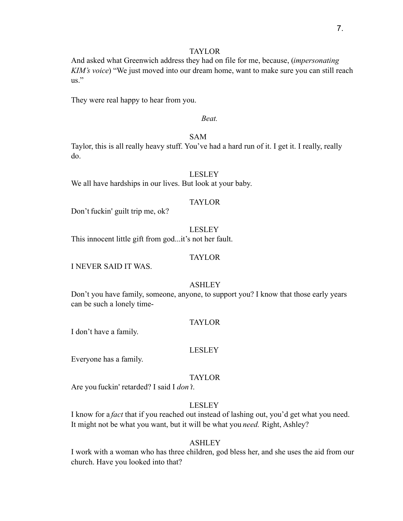# TAYLOR

And asked what Greenwich address they had on file for me, because, (*impersonating KIM's voice*) "We just moved into our dream home, want to make sure you can still reach us."

They were real happy to hear from you.

### *Beat.*

# SAM

Taylor, this is all really heavy stuff. You've had a hard run of it. I get it. I really, really do.

## LESLEY

We all have hardships in our lives. But look at your baby.

### TAYLOR

Don't fuckin' guilt trip me, ok?

LESLEY This innocent little gift from god...it's not her fault.

### TAYLOR

I NEVER SAID IT WAS.

### ASHLEY

Don't you have family, someone, anyone, to support you? I know that those early years can be such a lonely time-

### TAYLOR

I don't have a family.

### LESLEY

Everyone has a family.

### TAYLOR

Are you fuckin' retarded? I said I *don't*.

# LESLEY

I know for a *fact* that if you reached out instead of lashing out, you'd get what you need. It might not be what you want, but it will be what you *need.* Right, Ashley?

### ASHLEY

I work with a woman who has three children, god bless her, and she uses the aid from our church. Have you looked into that?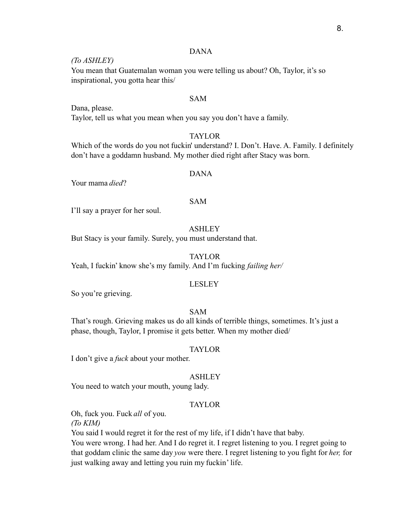# DANA

## *(To ASHLEY)*

You mean that Guatemalan woman you were telling us about? Oh, Taylor, it's so inspirational, you gotta hear this/

# SAM

Dana, please. Taylor, tell us what you mean when you say you don't have a family.

## TAYLOR

Which of the words do you not fuckin' understand? I. Don't. Have. A. Family. I definitely don't have a goddamn husband. My mother died right after Stacy was born.

# DANA

Your mama *died*?

#### SAM

I'll say a prayer for her soul.

# ASHLEY

But Stacy is your family. Surely, you must understand that.

## TAYLOR

Yeah, I fuckin' know she's my family. And I'm fucking *failing her/*

### LESLEY

So you're grieving.

# SAM

That's rough. Grieving makes us do all kinds of terrible things, sometimes. It's just a phase, though, Taylor, I promise it gets better. When my mother died/

### TAYLOR

I don't give a *fuck* about your mother.

### ASHLEY

You need to watch your mouth, young lady.

### TAYLOR

Oh, fuck you. Fuck *all* of you.

*(To KIM)*

You said I would regret it for the rest of my life, if I didn't have that baby.

You were wrong. I had her. And I do regret it. I regret listening to you. I regret going to that goddam clinic the same day *you* were there. I regret listening to you fight for *her,* for just walking away and letting you ruin my fuckin' life.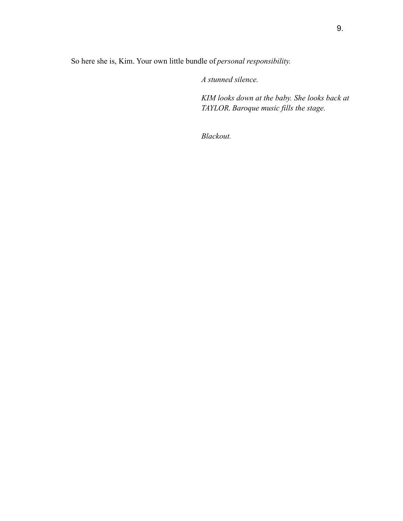So here she is, Kim. Your own little bundle of *personal responsibility.*

*A stunned silence.*

*KIM looks down at the baby. She looks back at TAYLOR. Baroque music fills the stage.*

*Blackout.*